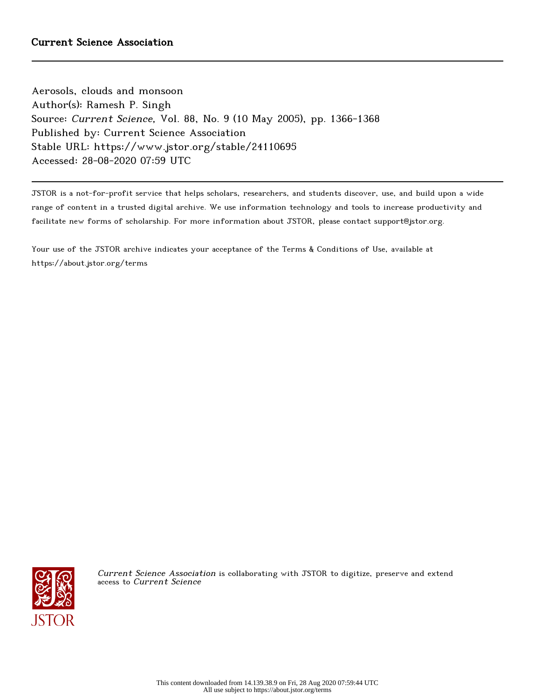Aerosols, clouds and monsoon Author(s): Ramesh P. Singh Source: Current Science, Vol. 88, No. 9 (10 May 2005), pp. 1366-1368 Published by: Current Science Association Stable URL: https://www.jstor.org/stable/24110695 Accessed: 28-08-2020 07:59 UTC

JSTOR is a not-for-profit service that helps scholars, researchers, and students discover, use, and build upon a wide range of content in a trusted digital archive. We use information technology and tools to increase productivity and facilitate new forms of scholarship. For more information about JSTOR, please contact support@jstor.org.

Your use of the JSTOR archive indicates your acceptance of the Terms & Conditions of Use, available at https://about.jstor.org/terms



Current Science Association is collaborating with JSTOR to digitize, preserve and extend access to Current Science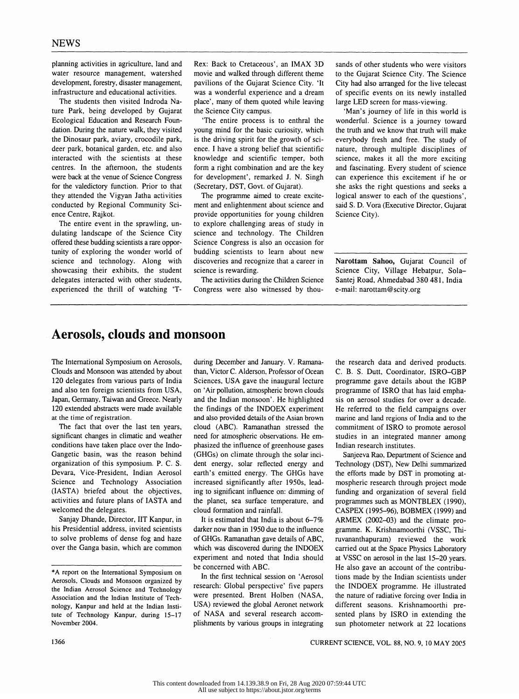planning activities in agriculture, land and Rex: Back to Cretaceous', an IMAX 3D water resource management, watershed movie and walked through different theme water resource management, watershed movie and walked through different theme development, forestry, disaster management, pavilions of the Gujarat Science City. 'It development, forestry, disaster management, pavilions of the Gujarat Science City. 'It infrastructure and educational activities. was a wonderful experience and a dream

ture Park, being developed by Gujarat Ecological Education and Research Foun-Ecological Education and Research Foun-<br>dation. During the nature walk, they visited young mind for the basic curiosity, which the Dinosaur park, aviary, crocodile park, deer park, botanical garden, etc. and also deer park, botanical garden, etc. and also ence. I have a strong belief that scientific interacted with the scientists at these knowledge and scientific temper, both interacted with the scientists at these knowledge and scientific temper, both centres. In the afternoon, the students form a right combination and are the key centres. In the afternoon, the students form a right combination and are the key were back at the venue of Science Congress for development', remarked J. N. Singh for the valedictory function. Prior to that (Secretary, DST, Govt. of Gujarat).<br>they attended the Vigyan Jatha activities The programme aimed to create excitethey attended the Vigyan Jatha activities conducted by Regional Community Sciconducted by Regional Community Sci- ment and enlightenment about science and ence Centre, Rajkot.

The entire event in the sprawling, un-<br>dulating landscape of the Science City science and technology. The Children dulating landscape of the Science City science and technology. The Children offered these budding scientists a rare oppor-<br>Science Congress is also an occasion for tunity of exploring the wonder world of budding scientists to learn about new science and technology. Along with discoveries and recognize that a career in science and technology. Along with discoveries and recognizations and recognize their exhibits, the student science is rewarding. showcasing their exhibits, the student science is rewarding.<br>delegates interacted with other students, The activities during the Children Science delegates interacted with other students, The activities during the Children Science experienced the thrill of watching 'T- Congress were also witnessed by thouexperienced the thrill of watching 'T-

frastructure and educational activities. was a wonderful experience and a dream<br>The students then visited Indroda Na-<br>place', many of them quoted while leaving place', many of them quoted while leaving<br>the Science City campus.

> young mind for the basic curiosity, which<br>is the driving spirit for the growth of scifor development', remarked J. N. Singh (Secretary, DST, Govt. of Gujarat).

ence Centre, Rajkot.<br>The entire event in the sprawling, un-<br>to explore challenging areas of study in Science Congress is also an occasion for<br>budding scientists to learn about new

 sands of other students who were visitors to the Gujarat Science City. The Science City had also arranged for the live telecast of specific events on its newly installed large LED screen for mass-viewing.

 'Man's journey of life in this world is wonderful. Science is a journey toward the truth and we know that truth will make everybody fresh and free. The study of nature, through multiple disciplines of science, makes it all the more exciting and fascinating. Every student of science can experience this excitement if he or she asks the right questions and seeks a logical answer to each of the questions', said S. D. Vora (Executive Director, Gujarat Science City).

 Narottam Sahoo, Gujarat Council of Science City, Village Hebatpur, Sola Santej Road, Ahmedabad 380 481, India e-mail: narottam@scity.org

## Aerosols, clouds and monsoon

 The International Symposium on Aerosols, Clouds and Monsoon was attended by about 120 delegates from various parts of India and also ten foreign scientists from USA, Japan, Germany, Taiwan and Greece. Nearly 120 extended abstracts were made available at the time of registration.

 The fact that over the last ten years, significant changes in climatic and weather conditions have taken place over the Indo Gangetic basin, was the reason behind organization of this symposium. P. C. S. Devara, Vice-President, Indian Aerosol Science and Technology Association (IASTA) briefed about the objectives, activities and future plans of IASTA and welcomed the delegates.

 Sanjay Dhande, Director, IIT Kanpur, in his Presidential address, invited scientists to solve problems of dense fog and haze of GHGs. Ramanathan gave details of ABC, over the Ganga basin, which are common

during December and January. V. Ramana- the research data and derived products.<br>than, Victor C. Alderson, Professor of Ocean C. B. S. Dutt, Coordinator, ISRO–GBP Sciences, USA gave the inaugural lecture programme gave details about the IGBP on 'Air pollution, atmospheric brown clouds programme of ISRO that has laid emphaon 'Air pollution, atmospheric brown clouds programme of ISRO that has laid empha-<br>and the Indian monsoon'. He highlighted sis on aerosol studies for over a decade. and the Indian monsoon'. He highlighted sis on aerosol studies for over a decade.<br>the findings of the INDOEX experiment He referred to the field campaigns over and also provided details of the Asian brown<br>cloud (ABC). Ramanathan stressed the cloud (ABC). Ramanathan stressed the commitment of ISRO to promote aerosol need for atmospheric observations. He emphasized the influence of greenhouse gases Indian research institutes.<br>(GHGs) on climate through the solar inci-<br>Sanjeeva Rao, Department of Science and (GHGs) on climate through the solar incident energy, solar reflected energy and earth's emitted energy. The GHGs have the efforts made by DST in promoting at-<br>increased significantly after 1950s, lead- mospheric research through project mode the planet, sea surface temperature, and programmes such as MONTBLEX (1990), cloud formation and rainfall. CASPEX (1995–96), BOBMEX (1999) and

of GHGs. Ramanathan gave details of ABC, ruvananthapuram) reviewed the work which was discovered during the INDOEX carried out at the Space Physics Laboratory which was discovered during the INDOEX carried out at the Space Physics Laboratory experiment and noted that India should at VSSC on aerosol in the last 15–20 years. experiment and noted that India should at VSSC on aerosol in the last 15–20 years, be concerned with ABC. He also gave an account of the contribu-

tute of Technology Kanpur, during 15-17 of NASA and several research accom-<br>November 2004. **Example 15-17** of NASA and several research accom-

C. B. S. Dutt, Coordinator, ISRO-GBP He referred to the field campaigns over marine and land regions of India and to the studies in an integrated manner among<br>Indian research institutes.

dent energy, solar reflected energy and Technology (DST), New Delhi summarized earth's emitted energy. The GHGs have the efforts made by DST in promoting atincreased significantly after 1950s, lead-<br>ing to significant influence on: dimming of funding and organization of several field ing to significant influence on: dimming of funding and organization of several field the planet, sea surface temperature, and programmes such as MONTBLEX (1990). oud formation and rainfall. CASPEX (1995–96), BOBMEX (1999) and It is estimated that India is about  $6-7\%$  ARMEX (2002–03) and the climate pro-It is estimated that India is about 6-7% ARMEX (2002-03) and the climate pro-<br>darker now than in 1950 due to the influence gramme. K. Krishnamoorthi (VSSC. Thigramme. K. Krishnamoorthi (VSSC, Thibe concerned with ABC.<br>In the first technical session on 'Aerosol tions made by the Indian scientists under tions made by the Indian scientists under the INDOEX programme. He illustrated the nature of radiative forcing over India in different seasons. Krishnamoorthi presented plans by ISRO in extending the sun photometer network at 22 locations

1366 CURRENT SCIENCE, VOL. 88, NO. 9, 10 MAY 2005

 <sup>\*</sup>A report on the International Symposium on Aerosols, Clouds and Monsoon organized by recossis, cross and monsoon organized by<br>the Indian Aerosol Science and Technology<br>Association and the Indian Institute of Tech-<br>were presented. Brent Holben (NASA, Association and the Indian Institute of Tech nology, Kanpur and held at the Indian Insti-<br>tute of Technology Kanpur, during 15–17 of NASA and several research accom-November 2004.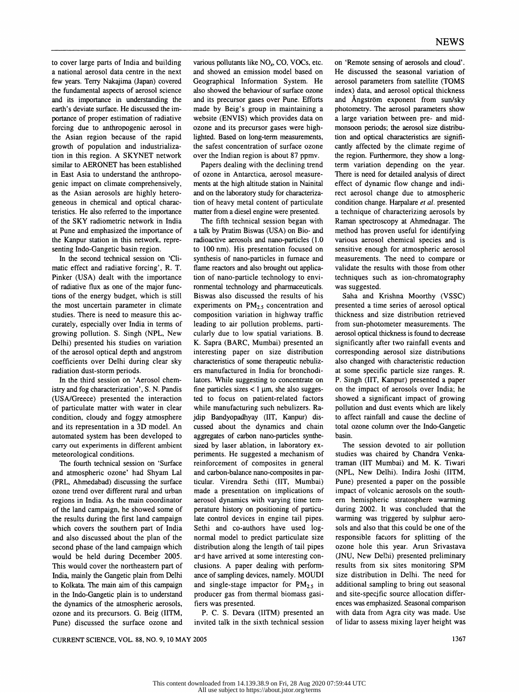the Asian region because of the rapid lighted. Based on long-term measurements, growth of population and industrializa-<br>the safest concentration of surface ozone tion in this region. A SKYNET network over the Indian region is about 87 ppmv.<br>similar to AERONET has been established Papers dealing with the declining trend similar to AERONET has been established Papers dealing with the declining trend term variation depending on the year.<br>in East Asia to understand the anthropo- of ozone in Antarctica, aerosol measure- There is need for deta genic impact on climate comprehensively, ments at the high altitude station in Nainital effect of dynamic flow change and indi-<br>as the Asian aerosols are highly hetero- and on the laboratory study for characteriza- rect ae as the Asian aerosols are highly hetero- and on the laboratory study for characteriza-<br>geneous in chemical and optical charac- tion of heavy metal content of particulate geneous in chemical and optical charac-<br>tion of heavy metal content of particulate condition change. Harpalare et al. presented<br>teristics. He also referred to the importance matter from a diesel engine were presented. a te teristics. He also referred to the importance matter from a diesel engine were presented. a technique of characterizing aerosols by of the SKY radiometric network in India The fifth technical session began with Raman spect of the SKY radiometric network in India The fifth technical session began with Raman spectroscopy at Ahmednagar. The at Pune and emphasized the importance of a talk by Pratim Biswas (USA) on Bio- and method has proven usef

tions of the energy budget, which is still Biswas also discussed the results of his the most uncertain parameter in climate experiments on  $PM_{2.5}$  concentration and

(USA/Greece) presented the interaction ted to focus on patient-related factors of particulate matter with water in clear while manufacturing such nebulizers. Ra-

and atmospheric ozone' had Shyam Lal and carbon-balance nano-composites in par- (NPL, New Delhi). Indira Joshi (IITM, (PRL, Ahmedabad) discussing the surface ticular. Virendra Sethi (IIT, Mumbai) Pune) presented a paper on (PRL, Ahmedabad) discussing the surface ticular. Virendra Sethi (IIT, Mumbai) Pune) presented a paper on the possible regions in India. As the main coordinator aerosol dynamics with varying time tern- ern hemispheric stratosphere warming of the land campaign, he showed some of perature history on positioning of particu-<br>the results during the first land campaign late control devices in engine tail pipes. warming was triggered by sulphur aerothe results during the first land campaign late control devices in engine tail pipes. warming was triggered by sulphur aero-<br>which covers the southern part of India Sethi and co-authors have used log-<br>sols and also that th and also discussed about the plan of the normal model to predict particulate size responsible factors for splitting of the second phase of the land campaign which distribution along the length of tail pipes ozone hole this would be held during December 2005. ard have arrived at some interesting con-<br>This would cover the northeastern part of clusions. A paper dealing with perform- results from six sites monitoring SPM This would cover the northeastern part of clusions. A paper dealing with perform-<br>India, mainly the Gangetic plain from Delhi ance of sampling devices, namely. MOUDI size distribution in Delhi. The need for India, mainly the Gangetic plain from Delhi ance of sampling devices, namely. MOUDI size distribution in Delhi. The need for to Kolkata. The main aim of this campaign and single-stage impactor for  $PM_{2.5}$  in additional s in the Indo-Gangetic plain is to understand producer gas from thermal biomass gasi-<br>the dynamics of the atmospheric aerosols, fiers was presented.<br>ences was emphasized. Seasonal comparison the dynamics of the atmospheric aerosols, fiers was presented. ences was emphasized. Seasonal comparison<br>ozone and its precursors. G. Beig (IITM, P. C. S. Devara (IITM) presented an with data from Agra city was made. Use ozone and its precursors. G. Beig (IITM, P. C. S. Devara (IITM) presented an with data from Agra city was made. Use<br>Pune) discussed the surface ozone and invited talk in the sixth technical session of lidar to assess mixin Pune) discussed the surface ozone and

to cover large parts of India and building various pollutants like  $NO<sub>x</sub>$ , CO, VOCs, etc. on 'Remote sensing of aerosols and cloud'.<br>a national aerosol data centre in the next and showed an emission model based on He d and showed an emission model based on few years. Terry Nakajima (Japan) covered Geographical Information System. He aerosol parameters from satellite (TOMS the fundamental aspects of aerosol science also showed the behaviour of surface ozone index) data, and aerosol optical thickness and its importance in understanding the and its precursor gases over Pune. Efforts and Angstr and its importance in understanding the and its precursor gases over Pune. Efforts and Ångström exponent from sun/sky earth's deviate surface. He discussed the im-<br>earth's deviate surface. He discussed the im-<br>made by Beig earth's deviate surface. He discussed the im- made by Beig's group in maintaining a photometry. The aerosol parameters show<br>portance of proper estimation of radiative website (ENVIS) which provides data on a large variatio portance of proper estimation of radiative website (ENVIS) which provides data on a large variation between pre- and mid-<br>forcing due to anthropogenic aerosol in ozone and its precursor gases were high- monsoon periods; th forcing due to anthropogenic aerosol in ozone and its precursor gases were high- monsoon periods; the aerosol size distribu-<br>the Asian region because of the rapid lighted. Based on long-term measurements, tion and optical the safest concentration of surface ozone cantly affected by the climate regime of over the Indian region is about 87 ppmv. the region. Furthermore, they show a long-

of ozone in Antarctica, aerosol measure-<br>measure- There is need for detailed analysis of direct<br>ments at the high altitude station in Nainital effect of dynamic flow change and indi-

at Pune and emphasized the importance of a talk by Pratim Biswas (USA) on Bio- and method has proven useful for identifying<br>the Kanpur station in this network, repre-<br>radioactive aerosols and nano-particles (1.0 various ae the Kanpur station in this network, repre-<br>station carrosols and nano-particles (1.0 various aerosol chemical species and is<br>senting Indo-Gangetic basin region.<br>to 100 nm). His presentation focused on sensitive enough for nting Indo-Gangetic basin region. to 100 nm). His presentation focused on sensitive enough for atmospheric aerosol<br>In the second technical session on 'Cli- synthesis of nano-particles in furnace and measurements. The need In the second technical session on 'Cli- synthesis of nano-particles in furnace and measurements. The need to compare or matic effect and radiative forcing', R. T. flame reactors and also brought out applica- validate the matic effect and radiative forcing', R. T. flame reactors and also brought out applica-validate the results with those from other<br>Pinker (USA) dealt with the importance tion of nano-particle technology to envi-techniques s Pinker (USA) dealt with the importance tion of nano-particle technology to envi-<br>of radiative flux as one of the major func-<br>ronmental technology and pharmaceuticals. was suggested. of radiative flux as one of the major func-<br>tions of the energy budget, which is still Biswas also discussed the results of his Saha and Krishna Moorthy (VSSC) the most uncertain parameter in climate experiments on  $PM<sub>2.5</sub>$  concentration and presented a time series of aerosol optical studies. There is need to measure this ac-<br>studies. There is need to measure this ac-<br>compos studies. There is need to measure this ac-<br>curately, especially over India in terms of leading to air pollution problems, parti-<br>from sun-photometer measurements. The curately, especially over India in terms of leading to air pollution problems, parti- from sun-photometer measurements. The growing pollution. S. Singh (NPL, New cularly due to low spatial variations. B. aerosol optical thickness is found to decrease<br>Delhi) presented his studies on variation K. Sapra (BARC, Mumbai) presented an significantly af Delhi) presented his studies on variation K. Sapra (BARC, Mumbai) presented an significantly after two rainfall events and of the aerosol optical depth and angstrom interesting paper on size distribution corresponding aero of the aerosol optical depth and angstrom interesting paper on size distribution corresponding aerosol size distributions coefficients over Delhi during clear sky characteristics of some therapeutic nebuliz- also changed w coefficients over Delhi during clear sky characteristics of some therapeutic nebuliz-<br>
radiation dust-storm periods. 
In the manufactured in India for bronchodiin the specific particle size ranges. R. diation dust-storm periods. ers manufactured in India for bronchodi-<br>In the third session on 'Aerosol chem-lators. While suggesting to concentrate on In the third session on 'Aerosol chem- lators. While suggesting to concentrate on P. Singh (IIT, Kanpur) presented a paper istry and fog characterization', S. N. Pandis fine particles sizes < 1 µm, she also sugges- on the fine particles sizes  $< 1 \mu m$ , she also sugges- on the impact of aerosols over India; he ted to focus on patient-related factors showed a significant impact of growing of particulate matter with water in clear while manufacturing such nebulizers. Ra-<br>condition, cloudy and foggy atmosphere jdip Bandyopadhyay (IIT, Kanpur) dis- to affect rainfall and cause the decline of condition, cloudy and foggy atmosphere jdip Bandyopadhyay (IIT, Kanpur) dis-<br>and its representation in a 3D model. An cussed about the dynamics and chain total ozone column over the Indo-Gangetic and its representation in a 3D model. An cussed about the dynamics and chain total ozone column over the Indo-Gangetic automated system has been developed to aggregates of carbon nano-particles synthe-<br>basin. aggregates of carbon nano-particles synthe-<br>sized by laser ablation, in laboratory ex-<br>The session devoted to air pollution carry out experiments in different ambient sized by laser ablation, in laboratory ex-<br>meteorological conditions. Periments. He suggested a mechanism of studies was chaired by Chandra Venkaeteorological conditions. periments. He suggested a mechanism of studies was chaired by Chandra Venka-<br>The fourth technical session on 'Surface reinforcement of composites in general traman (IIT Mumbai) and M. K. Tiwari reinforcement of composites in general traman (IIT Mumbai) and M. K. Tiwari<br>and carbon-balance nano-composites in par- (NPL, New Delhi). Indira Joshi (IITM, made a presentation on implications of Sethi and co-authors have used log- sols and also that this could be one of the normal model to predict particulate size responsible factors for splitting of the distribution along the length of tail pipes ozone hole this year. Arun Srivastava ard have arrived at some interesting con- (JNU, New Delhi) presented preliminary and single-stage impactor for  $PM_{2.5}$  in additional sampling to bring out seasonal producer gas from thermal biomass gasi- and site-specific source allocation differ-

CURRENT SCIENCE, VOL. 88, NO. 9, 10 MAY 2005 1367